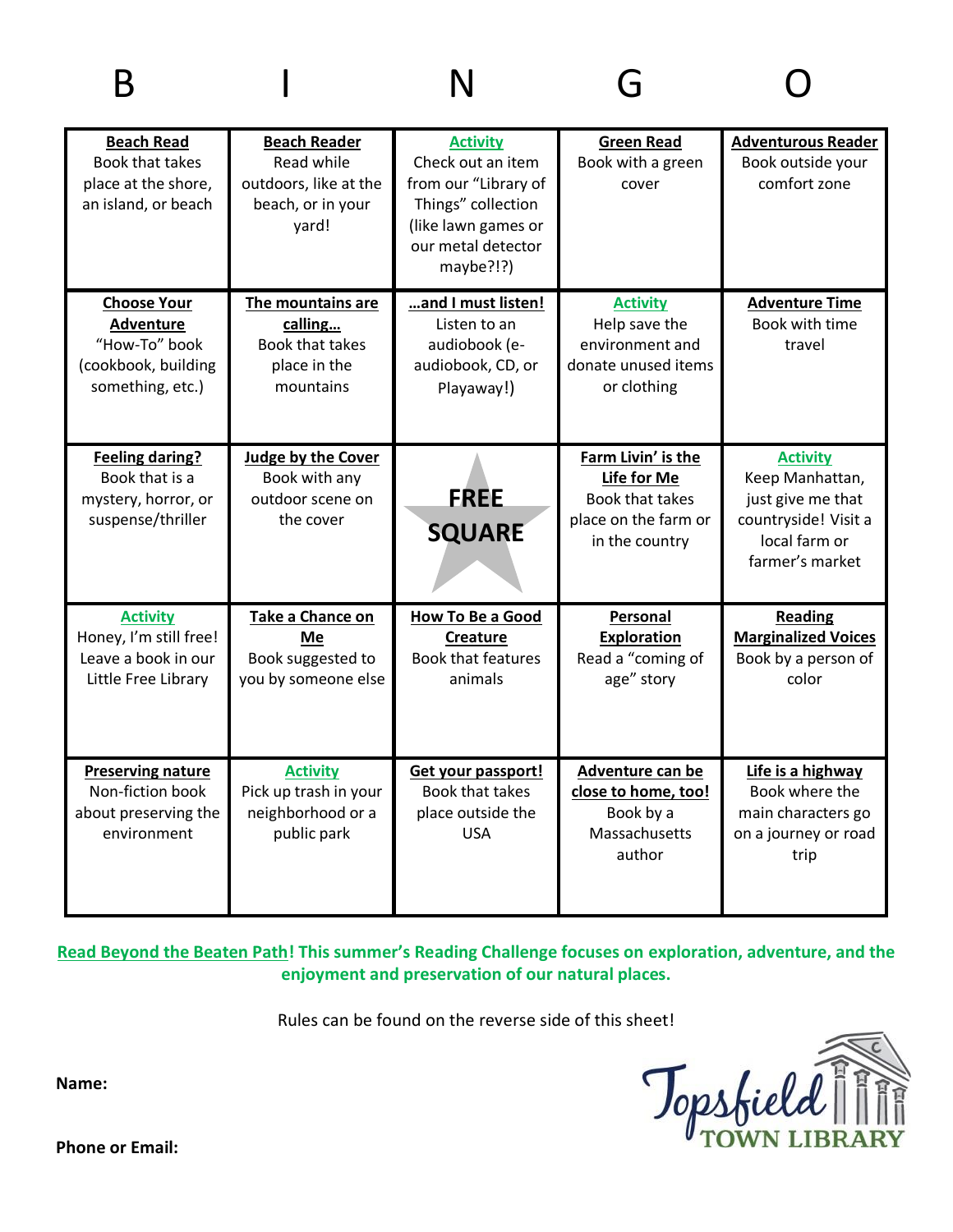| <b>Beach Read</b><br>Book that takes<br>place at the shore,<br>an island, or beach          | <b>Beach Reader</b><br>Read while<br>outdoors, like at the<br>beach, or in your<br>yard! | <b>Activity</b><br>Check out an item<br>from our "Library of<br>Things" collection<br>(like lawn games or<br>our metal detector<br>maybe?!?) | <b>Green Read</b><br>Book with a green<br>cover                                                | <b>Adventurous Reader</b><br>Book outside your<br>comfort zone                                                      |
|---------------------------------------------------------------------------------------------|------------------------------------------------------------------------------------------|----------------------------------------------------------------------------------------------------------------------------------------------|------------------------------------------------------------------------------------------------|---------------------------------------------------------------------------------------------------------------------|
| <b>Choose Your</b><br>Adventure<br>"How-To" book<br>(cookbook, building<br>something, etc.) | The mountains are<br>calling<br>Book that takes<br>place in the<br>mountains             | and I must listen!<br>Listen to an<br>audiobook (e-<br>audiobook, CD, or<br>Playaway!)                                                       | <b>Activity</b><br>Help save the<br>environment and<br>donate unused items<br>or clothing      | <b>Adventure Time</b><br>Book with time<br>travel                                                                   |
| <b>Feeling daring?</b><br>Book that is a<br>mystery, horror, or<br>suspense/thriller        | Judge by the Cover<br>Book with any<br>outdoor scene on<br>the cover                     | <b>FREE</b><br><b>SQUARE</b>                                                                                                                 | Farm Livin' is the<br>Life for Me<br>Book that takes<br>place on the farm or<br>in the country | <b>Activity</b><br>Keep Manhattan,<br>just give me that<br>countryside! Visit a<br>local farm or<br>farmer's market |
| <b>Activity</b><br>Honey, I'm still free!<br>Leave a book in our<br>Little Free Library     | Take a Chance on<br>Me<br>Book suggested to<br>you by someone else                       | <b>How To Be a Good</b><br><b>Creature</b><br><b>Book that features</b><br>animals                                                           | Personal<br><b>Exploration</b><br>Read a "coming of<br>age" story                              | Reading<br><b>Marginalized Voices</b><br>Book by a person of<br>color                                               |
| <b>Preserving nature</b><br>Non-fiction book<br>about preserving the<br>environment         | <b>Activity</b><br>Pick up trash in your<br>neighborhood or a<br>public park             | Get your passport!<br>Book that takes<br>place outside the<br><b>USA</b>                                                                     | Adventure can be<br>close to home, too!<br>Book by a<br>Massachusetts<br>author                | Life is a highway<br>Book where the<br>main characters go<br>on a journey or road<br>trip                           |

**Read Beyond the Beaten Path! This summer's Reading Challenge focuses on exploration, adventure, and the enjoyment and preservation of our natural places.**

Rules can be found on the reverse side of this sheet!



**Name:**

**Phone or Email:**